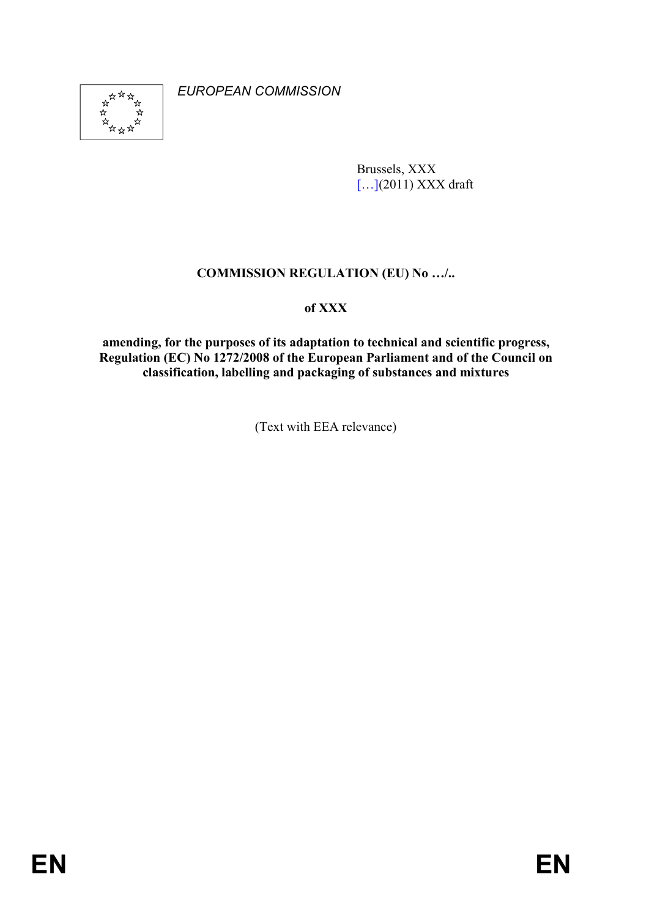

*EUROPEAN COMMISSION* 

Brussels, XXX [...](2011) XXX draft

# **COMMISSION REGULATION (EU) No .../..**

## **of XXX**

**amending, for the purposes of its adaptation to technical and scientific progress, Regulation (EC) No 1272/2008 of the European Parliament and of the Council on classification, labelling and packaging of substances and mixtures** 

(Text with EEA relevance)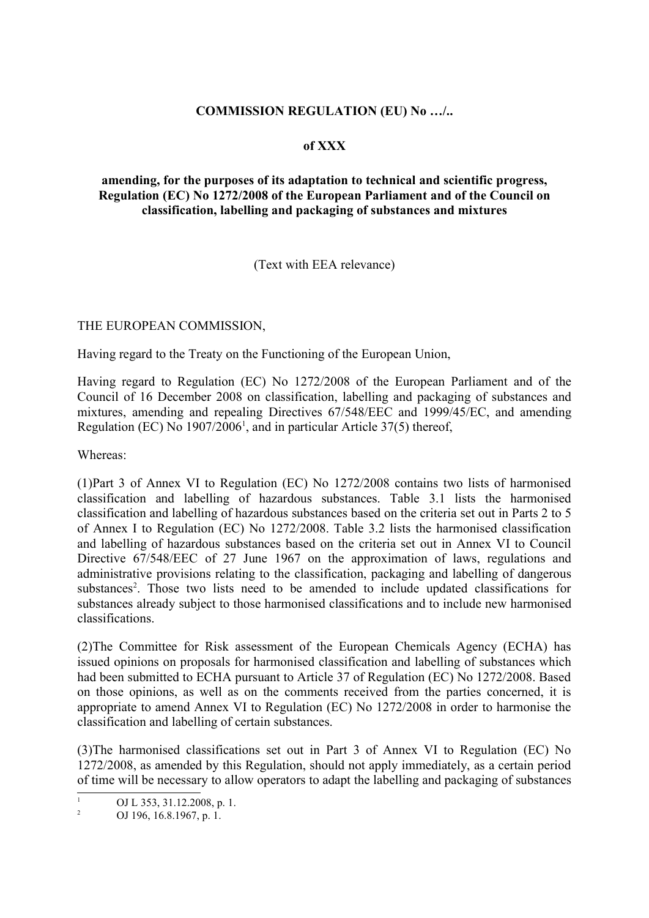#### **COMMISSION REGULATION (EU) No .../..**

#### **of XXX**

### **amending, for the purposes of its adaptation to technical and scientific progress, Regulation (EC) No 1272/2008 of the European Parliament and of the Council on classification, labelling and packaging of substances and mixtures**

(Text with EEA relevance)

THE EUROPEAN COMMISSION,

Having regard to the Treaty on the Functioning of the European Union,

Having regard to Regulation (EC) No 1272/2008 of the European Parliament and of the Council of 16 December 2008 on classification, labelling and packaging of substances and mixtures, amending and repealing Directives 67/548/EEC and 1999/45/EC, and amending Regulation (EC) No 1907/2006<sup>1</sup>, and in particular Article 37(5) thereof,

Whereas:

(1)Part 3 of Annex VI to Regulation (EC) No 1272/2008 contains two lists of harmonised classification and labelling of hazardous substances. Table 3.1 lists the harmonised classification and labelling of hazardous substances based on the criteria set out in Parts 2 to 5 of Annex I to Regulation (EC) No 1272/2008. Table 3.2 lists the harmonised classification and labelling of hazardous substances based on the criteria set out in Annex VI to Council Directive 67/548/EEC of 27 June 1967 on the approximation of laws, regulations and administrative provisions relating to the classification, packaging and labelling of dangerous substances<sup>2</sup>. Those two lists need to be amended to include updated classifications for substances already subject to those harmonised classifications and to include new harmonised classifications.

(2)The Committee for Risk assessment of the European Chemicals Agency (ECHA) has issued opinions on proposals for harmonised classification and labelling of substances which had been submitted to ECHA pursuant to Article 37 of Regulation (EC) No 1272/2008. Based on those opinions, as well as on the comments received from the parties concerned, it is appropriate to amend Annex VI to Regulation (EC) No 1272/2008 in order to harmonise the classification and labelling of certain substances.

(3)The harmonised classifications set out in Part 3 of Annex VI to Regulation (EC) No 1272/2008, as amended by this Regulation, should not apply immediately, as a certain period of time will be necessary to allow operators to adapt the labelling and packaging of substances

 $\frac{1}{2}$  OJ L 353, 31.12.2008, p. 1.

<sup>2</sup> OJ 196, 16.8.1967, p. 1.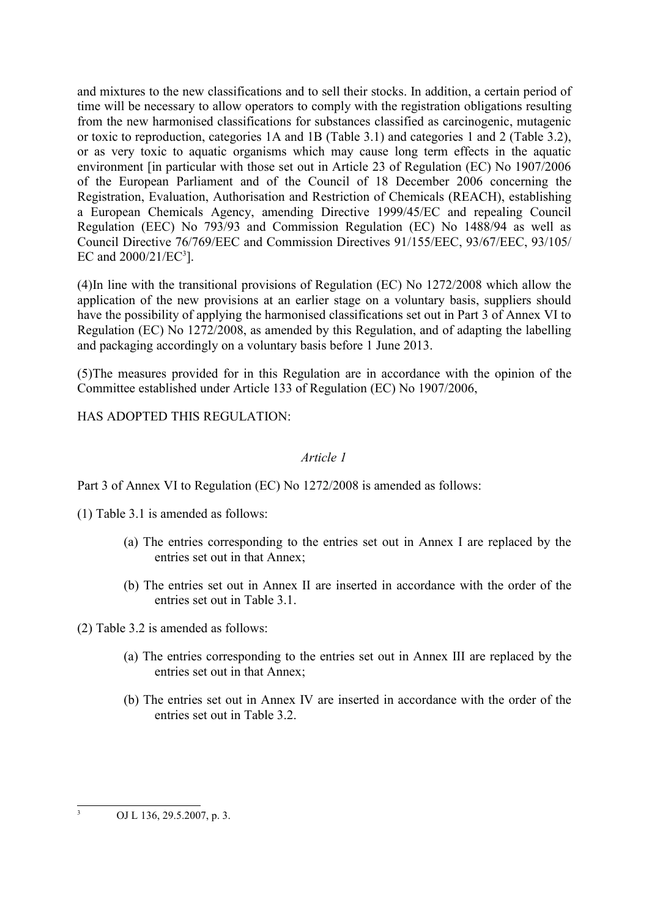and mixtures to the new classifications and to sell their stocks. In addition, a certain period of time will be necessary to allow operators to comply with the registration obligations resulting from the new harmonised classifications for substances classified as carcinogenic, mutagenic or toxic to reproduction, categories 1A and 1B (Table 3.1) and categories 1 and 2 (Table 3.2), or as very toxic to aquatic organisms which may cause long term effects in the aquatic environment [in particular with those set out in Article 23 of Regulation (EC) No 1907/2006 of the European Parliament and of the Council of 18 December 2006 concerning the Registration, Evaluation, Authorisation and Restriction of Chemicals (REACH), establishing a European Chemicals Agency, amending Directive 1999/45/EC and repealing Council Regulation (EEC) No 793/93 and Commission Regulation (EC) No 1488/94 as well as Council Directive 76/769/EEC and Commission Directives 91/155/EEC, 93/67/EEC, 93/105/ EC and  $2000/21/EC^3$ ].

(4)In line with the transitional provisions of Regulation (EC) No 1272/2008 which allow the application of the new provisions at an earlier stage on a voluntary basis, suppliers should have the possibility of applying the harmonised classifications set out in Part 3 of Annex VI to Regulation (EC) No 1272/2008, as amended by this Regulation, and of adapting the labelling and packaging accordingly on a voluntary basis before 1 June 2013.

(5)The measures provided for in this Regulation are in accordance with the opinion of the Committee established under Article 133 of Regulation (EC) No 1907/2006,

HAS ADOPTED THIS REGULATION:

#### *Article 1*

Part 3 of Annex VI to Regulation (EC) No 1272/2008 is amended as follows:

(1) Table 3.1 is amended as follows:

- (a) The entries corresponding to the entries set out in Annex I are replaced by the entries set out in that Annex;
- (b) The entries set out in Annex II are inserted in accordance with the order of the entries set out in Table 3.1.

(2) Table 3.2 is amended as follows:

- (a) The entries corresponding to the entries set out in Annex III are replaced by the entries set out in that Annex;
- (b) The entries set out in Annex IV are inserted in accordance with the order of the entries set out in Table 3.2.

OJ L 136, 29.5.2007, p. 3.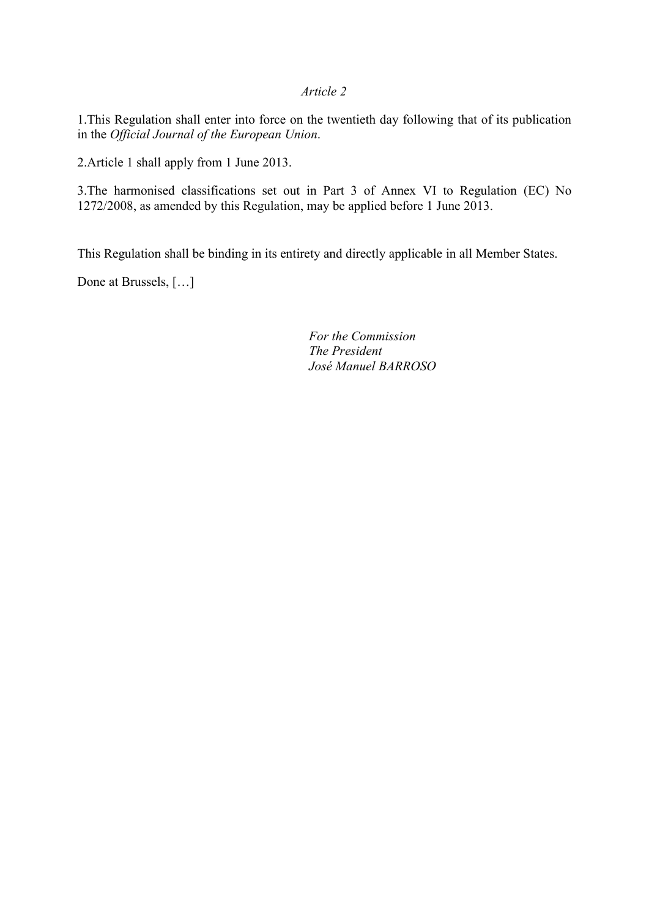#### *Article 2*

1.This Regulation shall enter into force on the twentieth day following that of its publication in the *Official Journal of the European Union*.

2.Article 1 shall apply from 1 June 2013.

3.The harmonised classifications set out in Part 3 of Annex VI to Regulation (EC) No 1272/2008, as amended by this Regulation, may be applied before 1 June 2013.

This Regulation shall be binding in its entirety and directly applicable in all Member States.

Done at Brussels, […]

*For the Commission The President José Manuel BARROSO*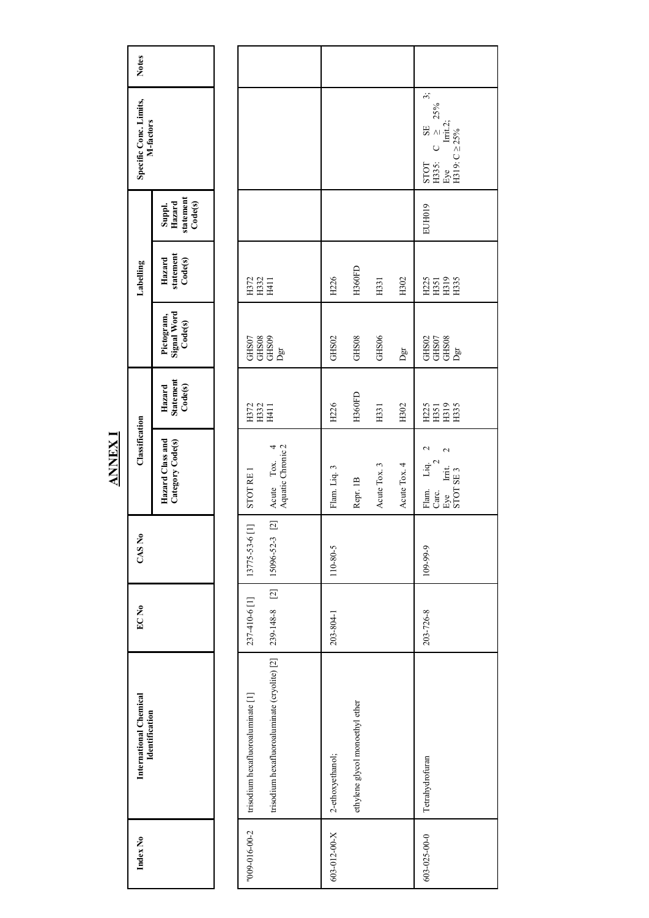| <b>Notes</b>                             |                                          |                                                                                                                    |                  |                                 |              |                         |                                                                                                                                                                                                       |
|------------------------------------------|------------------------------------------|--------------------------------------------------------------------------------------------------------------------|------------------|---------------------------------|--------------|-------------------------|-------------------------------------------------------------------------------------------------------------------------------------------------------------------------------------------------------|
| Specific Conc. Limits,<br>M-factors      |                                          |                                                                                                                    |                  |                                 |              |                         | $\ddot{3}$<br>25%<br>$\begin{array}{c} \text{SE} \\ \text{C} \end{array} \begin{array}{c} \text{SE} \\ \geq \end{array}$<br>Irrit.2;<br>Eye Irrit.2<br>H319: C $\geq$ 25%<br>$\circ$<br>H335:<br>STOT |
|                                          | statement<br>Code(s)<br>Suppl.<br>Hazard |                                                                                                                    |                  |                                 |              |                         | EUH019                                                                                                                                                                                                |
| Labelling                                | statement<br>Code(s)<br>Hazard           | $\begin{array}{c} 27 \\ 132 \\ 141 \\ \hline \end{array}$                                                          | H226             | <b>H360FD</b>                   | H331         | H302                    | $\frac{25}{251}$<br>$\frac{25}{251}$<br>$\frac{25}{251}$                                                                                                                                              |
|                                          | Signal Word<br>Pictogram,<br>Code(s)     | $\begin{array}{c} \mathrm{GHS}{07}\\ \mathrm{GHS}{08}\\ \mathrm{GHS}{08}\\ \end{array}$<br>$\mathbf{D}\mathbf{gr}$ | GHS02            | GHS <sub>08</sub>               | GHS06        | $\mathbf{D}\mathbf{gr}$ | $\begin{array}{l} \mathrm{GHS}{}^{02}\\ \mathrm{GHS}{}^{07}\\ \mathrm{GHS}{}^{08}\\ \mathrm{Dgr} \\ \mathrm{Dgr} \end{array}$                                                                         |
|                                          | Hazard<br>Statement<br>Code(s)           | H332<br>H411<br>H372                                                                                               | H226             | <b>H360FD</b>                   | H331         | H302                    | $\begin{array}{l} 1351 \\ 1193 \\ 1135 \end{array}$<br>H225                                                                                                                                           |
| Classification                           | Hazard Class and<br>Category Code(s)     | Acute Tox. 4<br>Aquatic Chronic 2<br>STOT RE 1                                                                     | Flam. Liq. 3     | Repr. 1B                        | Acute Tox. 3 | Acute Tox. 4            | 2<br>$\mathcal{L}$<br>$\overline{u}q$ <sup>2</sup><br>Eye Irrit.<br>STOT SE 3<br>Flam.<br>Carc.                                                                                                       |
| CAS No                                   |                                          | $\boxed{2}$<br>13775-53-6 [1]<br>15096-52-3                                                                        | 110-80-5         |                                 |              |                         | 109-99-9                                                                                                                                                                                              |
| EC No                                    |                                          | 239-148-8 [2]<br>237-410-6 [1]                                                                                     | 203-804-1        |                                 |              |                         | 203-726-8                                                                                                                                                                                             |
| International Chemical<br>Identification |                                          | trisodium hexafluoroaluminate (cryolite) [2]<br>trisodium hexafluoroaluminate [1]                                  | 2-ethoxyethanol; | ethylene glycol monoethyl ether |              |                         | Tetrahydrofuran                                                                                                                                                                                       |
| Index No                                 |                                          | "009-016-00-2                                                                                                      | 603-012-00-X     |                                 |              |                         | 603-025-00-0                                                                                                                                                                                          |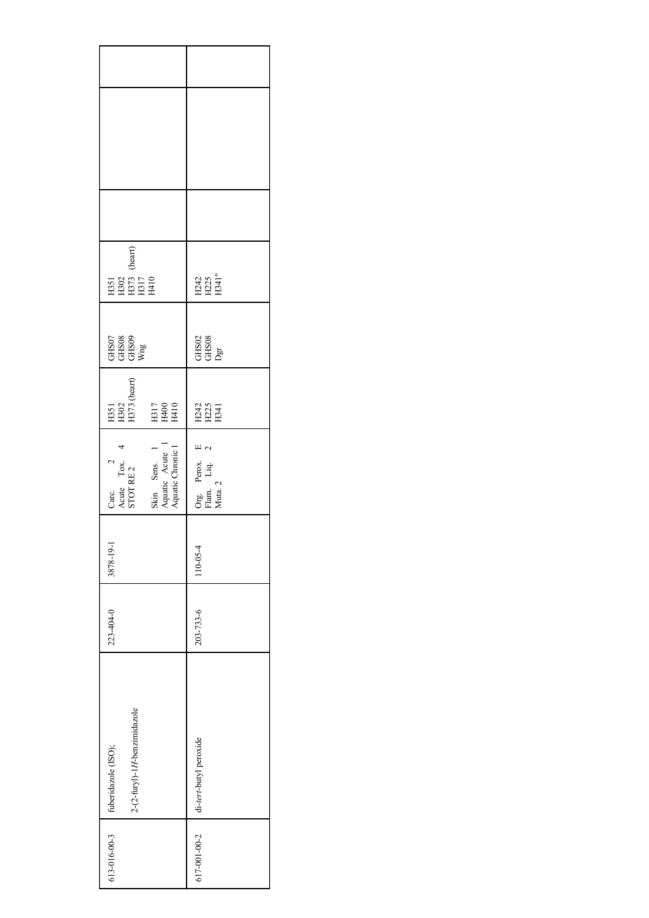| 613-016-00-3 | 2-(2-furyl)-1H-benzimidazole<br>fuberidazole (ISO); | 223-404-0 | 3878-19-1 | $\overline{a}$<br>Carc.<br>Acute Tox.<br>STOT RE 2            | H351<br>H302<br>H373 (heart)                                                   | GHS07<br>GHS08<br>GHS09<br>Wng          | (heart)<br>5<br>502<br>8885<br>8888 |  |  |
|--------------|-----------------------------------------------------|-----------|-----------|---------------------------------------------------------------|--------------------------------------------------------------------------------|-----------------------------------------|-------------------------------------|--|--|
|              |                                                     |           |           | Skin Sens. 1<br>Aquatic Acute 1<br>Aquatic Chronic 1          | $\begin{array}{l} \mathrm{H317} \\ \mathrm{H400} \\ \mathrm{H410} \end{array}$ |                                         |                                     |  |  |
| 617-001-00-2 | di-tert-butyl peroxide                              | 203-733-6 | 110-05-4  | $\mathbb{E}$ $\alpha$<br>Org. Perox.<br>Flam. Liq.<br>Muta. 2 | E242<br>E25<br>E341                                                            | $\frac{\text{GHS02}}{\text{OHS08}}$ Dgr | H242<br>H241"<br>H341"              |  |  |
|              |                                                     |           |           |                                                               |                                                                                |                                         |                                     |  |  |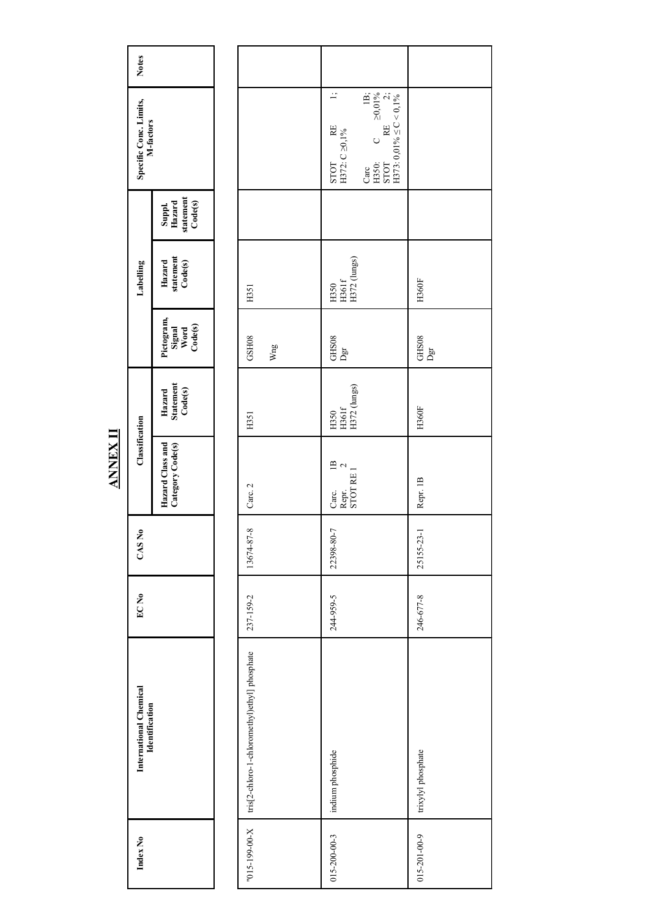| <b>Notes</b>                                    |                                          |                                               |                                                                                                                                                                                              |                    |
|-------------------------------------------------|------------------------------------------|-----------------------------------------------|----------------------------------------------------------------------------------------------------------------------------------------------------------------------------------------------|--------------------|
| Specific Conc. Limits,<br>M-factors             |                                          |                                               | $\div$<br>$\begin{tabular}{ll} Care & B;\\ H350: & C & \geq0,01\%\\ STOT & RE & 2;\\ H373: 0,01\% \leq C < 0,1\%\\ \end{tabular}$<br>STOT RE<br>H372: C $\geq 0, 1\%$<br>$H30:$ STOT<br>Carc |                    |
|                                                 | statement<br>Code(s)<br>Suppl.<br>Hazard |                                               |                                                                                                                                                                                              |                    |
| Labelling                                       | statement<br>Code(s)<br>Hazard           | H351                                          | H372 (lungs)<br>$\begin{array}{c} \tt H50 \\ \tt H561f \end{array}$                                                                                                                          | <b>H360F</b>       |
|                                                 | Pictogram,<br>Signal<br>Word<br>Code(s)  | GSH08<br>Wng                                  | GHS08<br>Dgr                                                                                                                                                                                 | GHS08<br>Dgr       |
|                                                 | Hazard<br>Statement<br>Code(s)           | H351                                          | H372 (lungs)<br>H350<br>H361f                                                                                                                                                                | H360F              |
| Classification                                  | Hazard Class and<br>Category Code(s)     | Carc. 2                                       | $\overline{B}$<br>$\mathbf{C}$<br>STOT RE1<br>Repr.<br>Carc.                                                                                                                                 | Repr. 1B           |
| CAS No                                          |                                          | 13674-87-8                                    | 22398-80-7                                                                                                                                                                                   | 25155-23-1         |
| EC <sub>No</sub>                                |                                          | 237-159-2                                     | 244-959-5                                                                                                                                                                                    | 246-677-8          |
| International Chemical<br><b>Identification</b> |                                          | tris[2-chloro-1-chloromethyl)ethyl] phosphate | indium phosphide                                                                                                                                                                             | trixylyl phosphate |
| Index No                                        |                                          | "015-199-00-X                                 | $015 - 200 - 00 - 3$                                                                                                                                                                         | 015-201-00-9       |

**ANNEX II**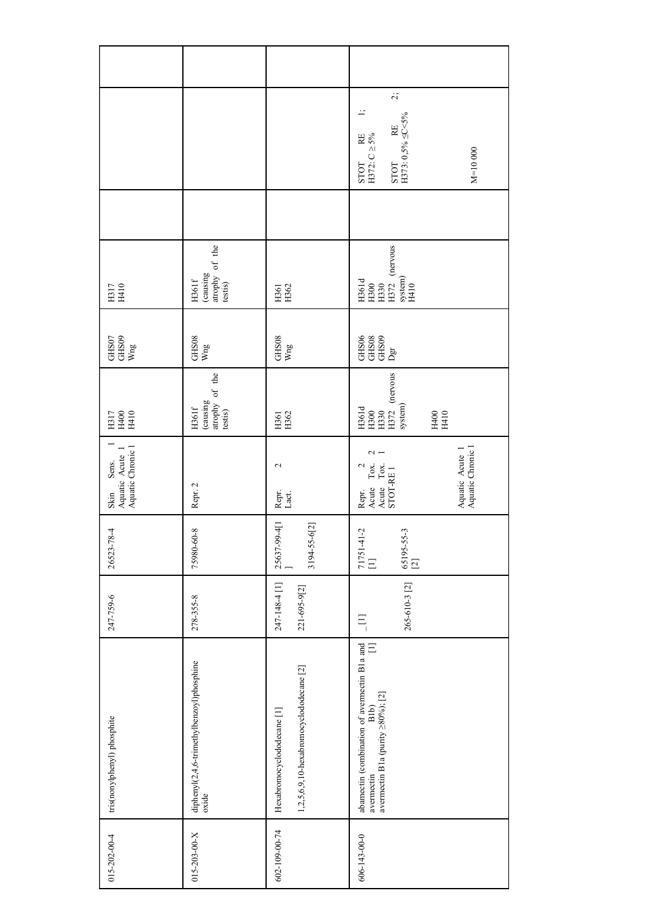|                                                      |                                                       |                                                                       | $\ddot{\mathcal{L}}$<br>$\vdots$<br>STOT RE<br>H373: $0,5\% \leq C < 5\%$<br>STOT RE<br>H372: $C \ge 5\%$<br>$M=10000$ |
|------------------------------------------------------|-------------------------------------------------------|-----------------------------------------------------------------------|------------------------------------------------------------------------------------------------------------------------|
|                                                      |                                                       |                                                                       |                                                                                                                        |
| H317<br>H410                                         | (causing<br>atrophy of the<br>testis)<br>H361f        | H361<br>H362                                                          | H361d<br>H300<br>H330<br>H372 (nervous<br>system)<br>H410                                                              |
| $\frac{\text{GHS07}}{\text{Wng}}$                    | GHS08<br>Wng                                          | ${\rm GHS08} \over {\rm Wng}$                                         | $\begin{array}{l} \text{GHS06} \\ \text{GHS08} \\ \text{GHS09} \\ \text{Dgr} \end{array}$                              |
| H317<br>H400<br>H410                                 | atrophy of the<br>testis)<br>(causing<br><b>H361f</b> | H361<br>H362                                                          | $H372$ (nervous<br>system)<br>$\begin{array}{l} \rm H561d \\ \rm H300 \\ \rm H330 \end{array}$<br>H410<br>H410         |
| Skin Sens. 1<br>Aquatic Acute 1<br>Aquatic Chronic 1 | Repr. 2                                               | $\mathbf{\Omega}$<br>Repr.<br>Lact.                                   | Aquatic Acute 1<br>Aquatic Chronic 1<br>$\mathbf 2$<br>Acite Tox.<br>Acute Tox.<br>STOT-RE I<br>$\mathcal{L}$<br>Repr. |
| 26523-78-4                                           | 75980-60-8                                            | 25637-99-4[1<br>3194-55-6[2]                                          | $71751-41-2$<br>[1]<br>65195-55-3<br>[2]                                                                               |
| 247-759-6                                            | 278-355-8                                             | 247-148-4 [1]<br>221-695-9[2]                                         | 265-610-3 [2]<br>$\Xi$                                                                                                 |
| tris(nonylphenyl) phosphite                          | diphenyl(2,4,6-trimethylbenzoyl)phosphine<br>oxide    | 1,2,5,6,9,10-hexabromocyclododecane [2]<br>Hexabromocyclododecane [1] | abamectin (combination of avermectin B1a and<br>$\Xi$<br>avermectin B1a (purity $\geq$ 80%); [2]<br>B1b)<br>avermectin |
| $015 - 202 - 00 - 4$                                 | $015 - 203 - 00 - X$                                  | 602-109-00-74                                                         | 606-143-00-0                                                                                                           |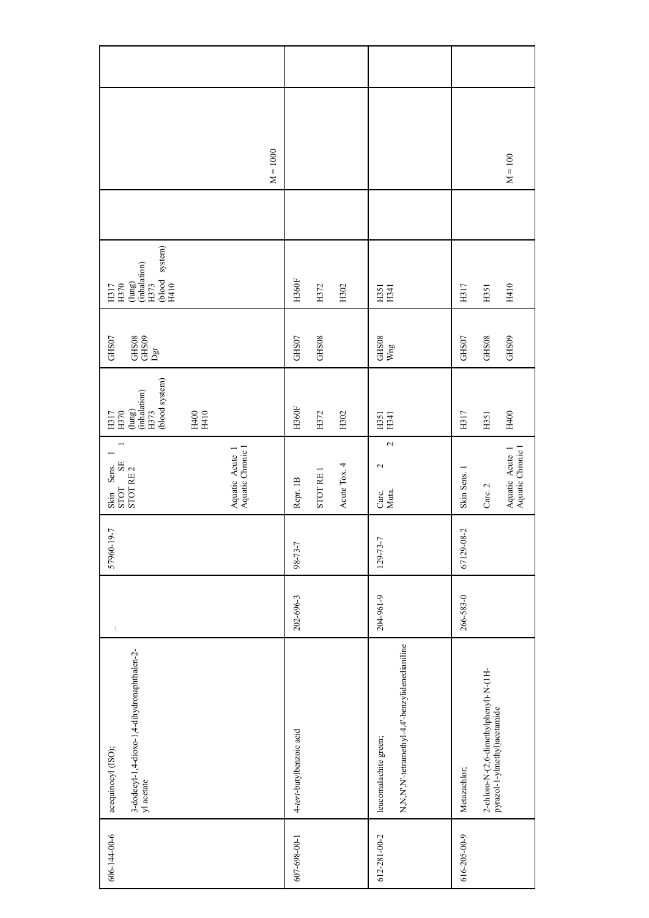| 606-144-00-6 | 3-dodecyl-1,4-dioxo-1,4-dihydronaphthalen-2-<br>yl acetate<br>acequinocyl (ISO); | $\vert$   | 57960-19-7     | Skin Sens.<br>STOT SE<br>STOT RE 2         | (blood system)<br>$\begin{array}{l} \text{(lung)}\\ \text{(inhalation)}\\ \text{H373} \end{array}$<br>H317<br>H370 | GHS07<br>$\begin{array}{c} \text{GHS}08 \\ \text{GHS}09 \\ \text{Dgr} \end{array}$ | system)<br>$\begin{array}{l} {\rm (lung)} \\ {\rm (inhalation)} \\ {\rm H373} \end{array}$<br>(blood H410<br>$\frac{0.111}{2}$ |            |  |
|--------------|----------------------------------------------------------------------------------|-----------|----------------|--------------------------------------------|--------------------------------------------------------------------------------------------------------------------|------------------------------------------------------------------------------------|--------------------------------------------------------------------------------------------------------------------------------|------------|--|
|              |                                                                                  |           |                |                                            | H400<br>H410                                                                                                       |                                                                                    |                                                                                                                                |            |  |
|              |                                                                                  |           |                | Aquatic Chronic 1<br>Aquatic Acute 1       |                                                                                                                    |                                                                                    |                                                                                                                                |            |  |
|              |                                                                                  |           |                |                                            |                                                                                                                    |                                                                                    |                                                                                                                                | $M = 1000$ |  |
| 607-698-00-1 | 4-tert-butylbenzoic acid                                                         | 202-696-3 | 98-73-7        | Repr. 1B                                   | <b>H360F</b>                                                                                                       | GHS07                                                                              | <b>H360F</b>                                                                                                                   |            |  |
|              |                                                                                  |           |                | STOT RE 1                                  | H372                                                                                                               | GHS08                                                                              | H372                                                                                                                           |            |  |
|              |                                                                                  |           |                | Acute Tox. 4                               | H302                                                                                                               |                                                                                    | H302                                                                                                                           |            |  |
| 612-281-00-2 | N,N,N',N'-tetramethyl-4,4'-benzylidenedianiline<br>leucomalachite green;         | 204-961-9 | $129 - 73 - 7$ | $\sim$<br>$\mathbb{C}^2$<br>Carc.<br>Muta. | H351<br>H341                                                                                                       | ${\rm GHS08} \over {\rm Wng}$                                                      | H351<br>H341                                                                                                                   |            |  |
| 616-205-00-9 | Metazachlor;                                                                     | 266-583-0 | 67129-08-2     | Skin Sens. 1                               | H317                                                                                                               | GHS07                                                                              | H317                                                                                                                           |            |  |
|              | 2-chloro-N-(2,6-dimethylphenyl)-N-(1H-<br>pyrazol-1-ylmethyl)acetamide           |           |                | Carc. 2                                    | H351                                                                                                               | GHS08                                                                              | H351                                                                                                                           |            |  |
|              |                                                                                  |           |                | Aquatic Acute 1<br>Aquatic Chronic 1       | H400                                                                                                               | GHS09                                                                              | H410                                                                                                                           | $M = 100$  |  |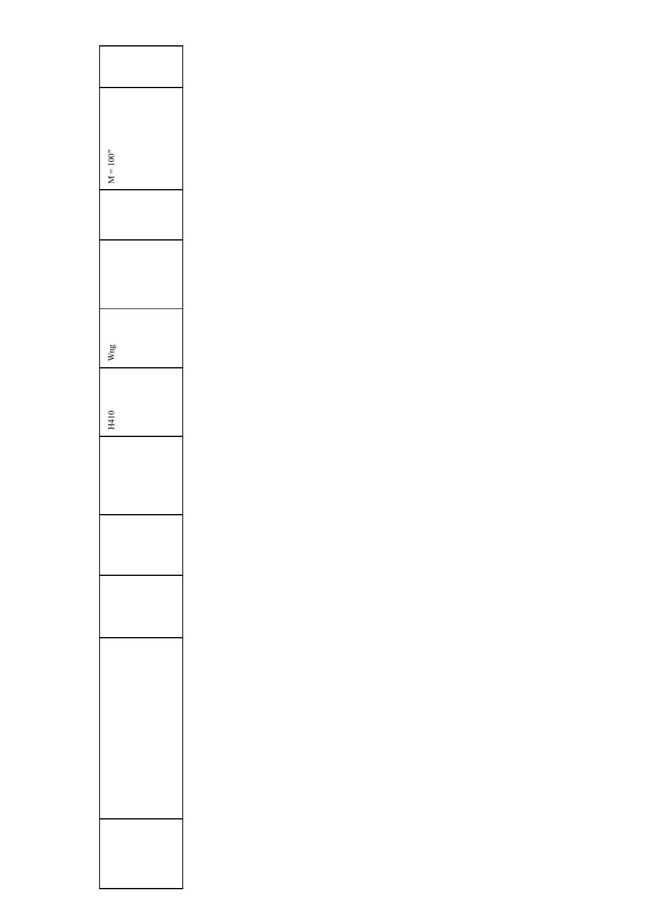| $M = 100"$ |
|------------|
|            |
|            |
|            |
|            |
|            |
|            |
|            |
| Wng        |
|            |
|            |
| H410       |
|            |
|            |
|            |
|            |
|            |
|            |
|            |
|            |
|            |
|            |
|            |
|            |
|            |
|            |
|            |
|            |
|            |
|            |
|            |
|            |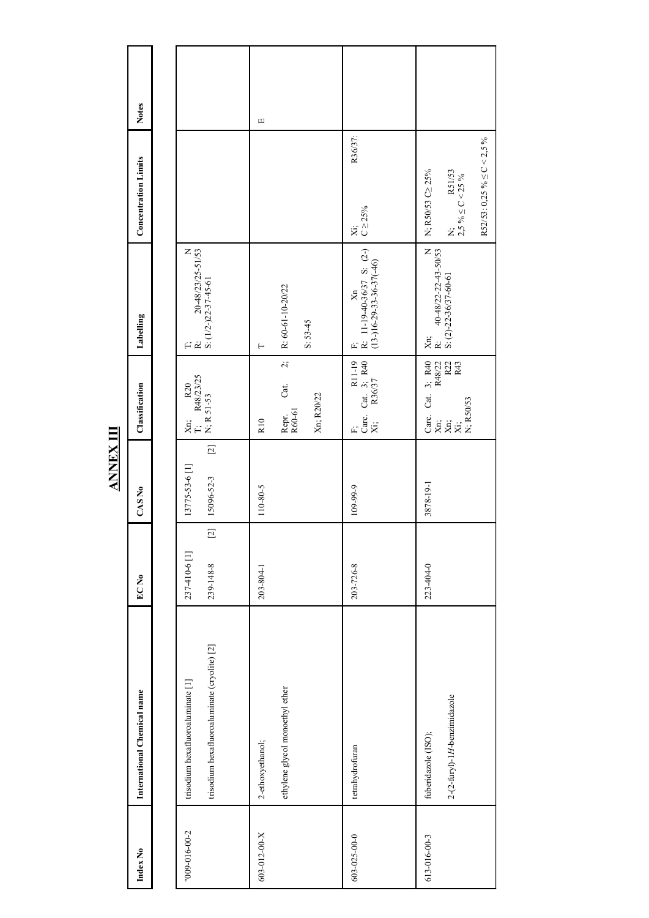| Index No      | International Chemical name                                                       | EC <sub>No</sub>                    | CAS No                                | Classification                                                                                                                                                                                                                                 | Labelling                                                     | <b>Concentration Limits</b>                                                              | <b>Notes</b> |
|---------------|-----------------------------------------------------------------------------------|-------------------------------------|---------------------------------------|------------------------------------------------------------------------------------------------------------------------------------------------------------------------------------------------------------------------------------------------|---------------------------------------------------------------|------------------------------------------------------------------------------------------|--------------|
|               |                                                                                   |                                     |                                       |                                                                                                                                                                                                                                                |                                                               |                                                                                          |              |
| "009-016-00-2 | trisodium hexafluoroaluminate (cryolite) [2]<br>trisodium hexafluoroaluminate [1] | $[2]$<br>237-410-6 [1]<br>239-148-8 | $[2]$<br>13775-53-6 [1]<br>15096-52-3 | $\begin{bmatrix} Xn; & R20 \\ T; & R48/23/25 \\ N; R 51-53 \end{bmatrix}$                                                                                                                                                                      | T;<br>R: $20-48/23/25-51/53$<br>S: $(1/2-22-37-45-61$         |                                                                                          |              |
| 603-012-00-X  | ethylene glycol monoethyl ether<br>2-ethoxyethanol;                               | 203-804-1                           | 110-80-5                              | $\dot{z}$<br>Cat.<br>Xn; R20/22<br>Repr.<br>R60-61<br>R <sub>10</sub>                                                                                                                                                                          | R: 60-61-10-20/22<br>$S: 53-45$<br>⊢                          |                                                                                          | Щ            |
| 603-025-00-0  | tetrahydrofuran                                                                   | 203-726-8                           | 109-99-9                              | $\begin{bmatrix} F; \\ \text{Carc. Cat. 3; R40} \\ Xi; \quad R36/37 \end{bmatrix}$                                                                                                                                                             | F;<br>R: 11-19-40-36/37 S: $(2-)$<br>(13-)16-29-33-36-37(-46) | R36/37:<br>$Xi$ ;<br>C $\geq$ 25%                                                        |              |
| 613-016-00-3  | $2-(2-furyl)-1H-benzimidazole$<br>fuberidazole (ISO);                             | 223-404-0                           | 3878-19-1                             | $\begin{tabular}{ l l } \hline Care. \;\; Cat. \;\; 3; \;\; R40 \\ \hline Xn; \qquad \  \  \, R48/22 \\ \hline Xn; \qquad \  \  \, R22 \\ \hline Xi; \qquad \  \  \, R23 \\ \hline N; \;\; R50/53 \qquad \  \  \, R43 \\ \hline \end{tabular}$ | Xn;<br>R: 40-48/22-22-43-50/53<br>S: (2)-22-36/37-60-61       | R52/53: 0,25 % $\leq$ C < 2,5 %<br>N;<br>2,5 % $\leq$ C < 25 %<br>N; R50/53 C<br><>>>25% |              |

**ANNEX III**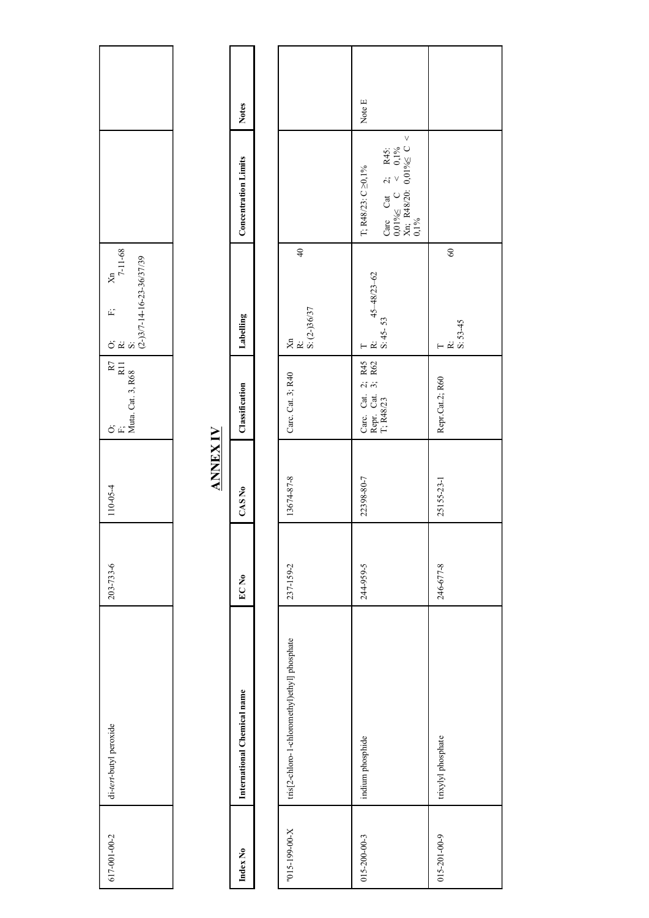|                                                                                                         |                 | <b>Notes</b>                |                                               | Note E                                                                                                                                                                                                                                                   |                                       |
|---------------------------------------------------------------------------------------------------------|-----------------|-----------------------------|-----------------------------------------------|----------------------------------------------------------------------------------------------------------------------------------------------------------------------------------------------------------------------------------------------------------|---------------------------------------|
|                                                                                                         |                 | <b>Concentration Limits</b> |                                               | $\begin{array}{ l } \hline \text{Care} & \text{Cat} & 2; \quad \text{R45:} \\ \hline 0,01\% & \text{C} & < & 0,1\% \\ \hline \text{Xn}; \quad \text{R48/20:} & 0,01\% & \text{C} < \\ 0,1\% & 0.1\% & \text{C} \end{array}$<br>T; R48/23: $C \ge 0, 1\%$ |                                       |
| $\frac{\text{Xn}}{7-11-68}$<br>O;<br>R:<br>S:<br>(2-)3/7-14-16-23-36/37/39<br>(2-)3/7-14-16-23-36/37/39 |                 | Labelling                   | $\overline{40}$<br>Xn<br>R:<br>S: (2-)36/37   | T<br>R: $45-48/23-62$<br>S: $45-53$                                                                                                                                                                                                                      | $60\,$<br>$T$<br>R: 53-45<br>S: 53-45 |
| O;<br>F;<br>Muta. Cat. 3, R68                                                                           |                 | Classification              | Carc. Cat. 3; R40                             | Carc. Cat. 2; R45<br>Repr. Cat. 3; R62<br>T; R48/23                                                                                                                                                                                                      | Repr.Cat.2; R60                       |
| 110-05-4                                                                                                | <b>ANNEX IV</b> | CAS No                      | 13674-87-8                                    | 22398-80-7                                                                                                                                                                                                                                               | 25155-23-1                            |
| 203-733-6                                                                                               |                 | $ECN$ 0                     | 237-159-2                                     | 244-959-5                                                                                                                                                                                                                                                | 246-677-8                             |
| di-tert-butyl peroxide                                                                                  |                 | International Chemical name | tris[2-chloro-1-chloromethyl)ethyl] phosphate | indium phosphide                                                                                                                                                                                                                                         | trixylyl phosphate                    |
| 617-001-00-2                                                                                            |                 | Index No                    | $X$ -00-661-510"                              | $015 - 200 - 00 - 3$                                                                                                                                                                                                                                     | $015 - 201 - 00 - 9$                  |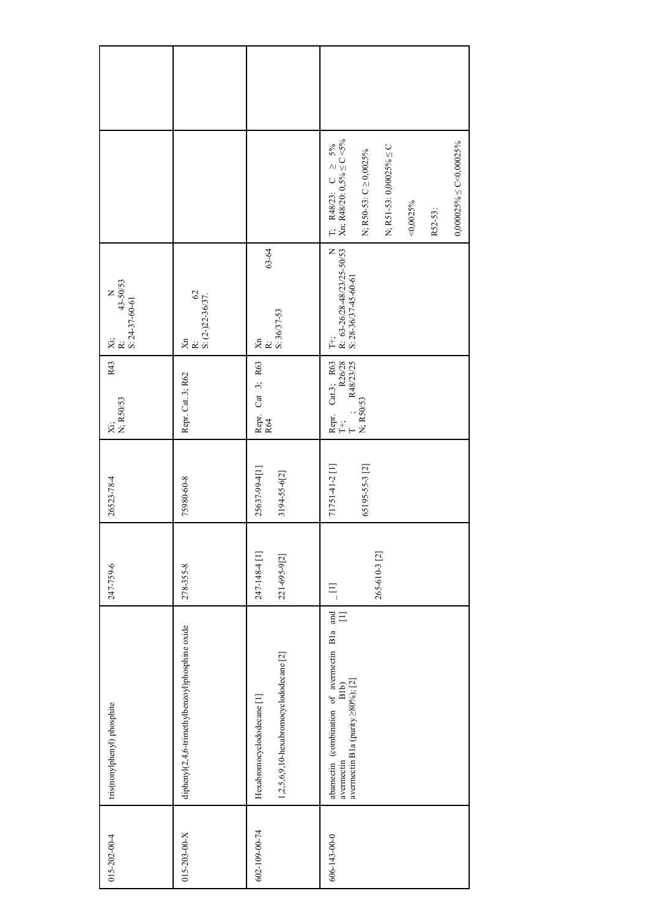|                                              |                                                 |                                                                       | T; R48/23: C $\geq$ 5%<br>Xn; R48/20: 0,5% $\leq$ C <5%<br>$0,000025\% \leq C < 0,00025\%$<br>N; R51-53: 0,00025% $\leq C$<br>N; R50-53: $C \ge 0,0025\%$<br>$<$ 0,0025%<br>R52-53: |
|----------------------------------------------|-------------------------------------------------|-----------------------------------------------------------------------|-------------------------------------------------------------------------------------------------------------------------------------------------------------------------------------|
| N<br>$\frac{43-50/53}{5! \cdot 24-37-60-61}$ | $\frac{K}{S}$ : (2-)22-36/37.<br>Х<br>К         | 63-64<br>S: 36/37-53<br>Я́<br>К                                       | T+;<br>R: 63-26/28-48/23/25-50/53<br>S: 28-36/37-45-60-61                                                                                                                           |
| R43<br>Xi;<br>N; R50/53                      | Repr. Cat. 3; R62                               | Repr. Cat 3; R63<br>R64                                               | $\begin{tabular}{ l l } \hline Repr. & Cat3; R63 \\ \hline T+; & R26/28 \\ T & ; & R48/23/25 \\ N; R50/53 \\ \hline \end{tabular}$                                                  |
| 26523-78-4                                   | 75980-60-8                                      | 25637-99-4[1]<br>3194-55-6[2]                                         | 71751-41-2 [1]<br>65195-55-3 [2]                                                                                                                                                    |
| 247-759-6                                    | 278-355-8                                       | 247-148-4 [1]<br>221-695-9[2]                                         | 265-610-3 [2]<br>$\Xi$                                                                                                                                                              |
| tris(nonylphenyl) phosphite                  | diphenyl(2,4,6-trimethylbenzoyl)phosphine oxide | 1,2,5,6,9,10-hexabromocyclododecane [2]<br>Hexabromocyclododecane [1] | abamectin (combination of averneetin $B1a$ and averneetin $B1b$ ) [1]<br>avermeetin B1a (purity $\geq 80\%$ ); [2]                                                                  |
| $015 - 202 - 00 - 4$                         | $015 - 203 - 00 - X$                            | 602-109-00-74                                                         | 606-143-00-0                                                                                                                                                                        |